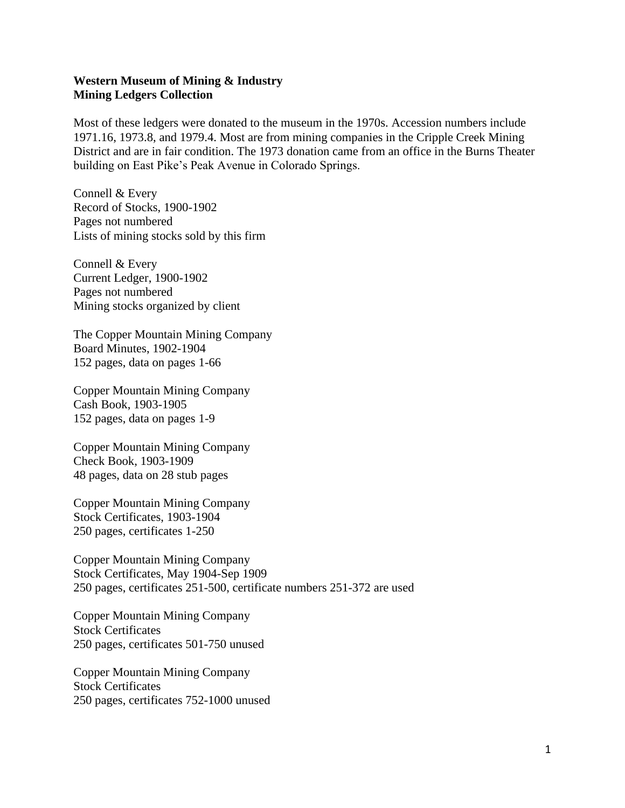## **Western Museum of Mining & Industry Mining Ledgers Collection**

Most of these ledgers were donated to the museum in the 1970s. Accession numbers include 1971.16, 1973.8, and 1979.4. Most are from mining companies in the Cripple Creek Mining District and are in fair condition. The 1973 donation came from an office in the Burns Theater building on East Pike's Peak Avenue in Colorado Springs.

Connell & Every Record of Stocks, 1900-1902 Pages not numbered Lists of mining stocks sold by this firm

Connell & Every Current Ledger, 1900-1902 Pages not numbered Mining stocks organized by client

The Copper Mountain Mining Company Board Minutes, 1902-1904 152 pages, data on pages 1-66

Copper Mountain Mining Company Cash Book, 1903-1905 152 pages, data on pages 1-9

Copper Mountain Mining Company Check Book, 1903-1909 48 pages, data on 28 stub pages

Copper Mountain Mining Company Stock Certificates, 1903-1904 250 pages, certificates 1-250

Copper Mountain Mining Company Stock Certificates, May 1904-Sep 1909 250 pages, certificates 251-500, certificate numbers 251-372 are used

Copper Mountain Mining Company Stock Certificates 250 pages, certificates 501-750 unused

Copper Mountain Mining Company Stock Certificates 250 pages, certificates 752-1000 unused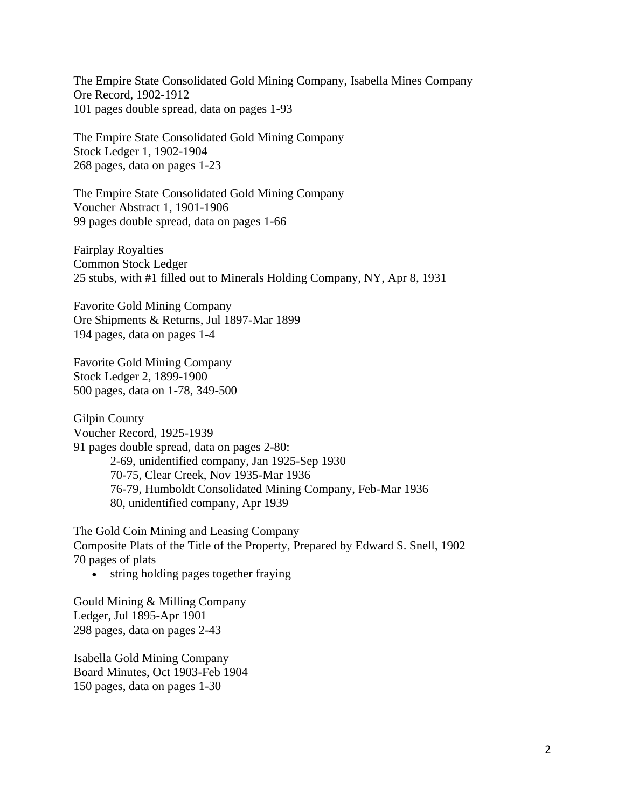The Empire State Consolidated Gold Mining Company, Isabella Mines Company Ore Record, 1902-1912 101 pages double spread, data on pages 1-93

The Empire State Consolidated Gold Mining Company Stock Ledger 1, 1902-1904 268 pages, data on pages 1-23

The Empire State Consolidated Gold Mining Company Voucher Abstract 1, 1901-1906 99 pages double spread, data on pages 1-66

Fairplay Royalties Common Stock Ledger 25 stubs, with #1 filled out to Minerals Holding Company, NY, Apr 8, 1931

Favorite Gold Mining Company Ore Shipments & Returns, Jul 1897-Mar 1899 194 pages, data on pages 1-4

Favorite Gold Mining Company Stock Ledger 2, 1899-1900 500 pages, data on 1-78, 349-500

Gilpin County Voucher Record, 1925-1939 91 pages double spread, data on pages 2-80: 2-69, unidentified company, Jan 1925-Sep 1930 70-75, Clear Creek, Nov 1935-Mar 1936 76-79, Humboldt Consolidated Mining Company, Feb-Mar 1936 80, unidentified company, Apr 1939

The Gold Coin Mining and Leasing Company Composite Plats of the Title of the Property, Prepared by Edward S. Snell, 1902 70 pages of plats

• string holding pages together fraying

Gould Mining & Milling Company Ledger, Jul 1895-Apr 1901 298 pages, data on pages 2-43

Isabella Gold Mining Company Board Minutes, Oct 1903-Feb 1904 150 pages, data on pages 1-30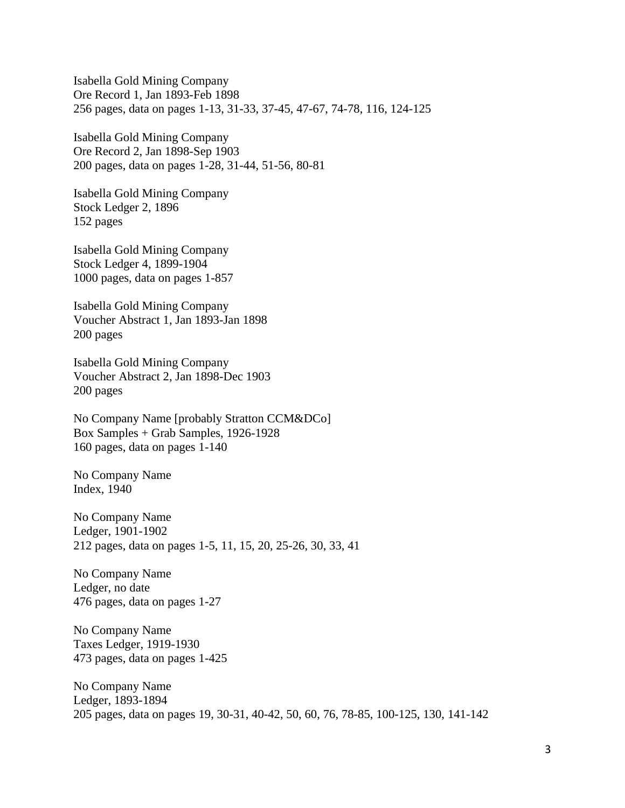Isabella Gold Mining Company Ore Record 1, Jan 1893-Feb 1898 256 pages, data on pages 1-13, 31-33, 37-45, 47-67, 74-78, 116, 124-125

Isabella Gold Mining Company Ore Record 2, Jan 1898-Sep 1903 200 pages, data on pages 1-28, 31-44, 51-56, 80-81

Isabella Gold Mining Company Stock Ledger 2, 1896 152 pages

Isabella Gold Mining Company Stock Ledger 4, 1899-1904 1000 pages, data on pages 1-857

Isabella Gold Mining Company Voucher Abstract 1, Jan 1893-Jan 1898 200 pages

Isabella Gold Mining Company Voucher Abstract 2, Jan 1898-Dec 1903 200 pages

No Company Name [probably Stratton CCM&DCo] Box Samples + Grab Samples, 1926-1928 160 pages, data on pages 1-140

No Company Name Index, 1940

No Company Name Ledger, 1901-1902 212 pages, data on pages 1-5, 11, 15, 20, 25-26, 30, 33, 41

No Company Name Ledger, no date 476 pages, data on pages 1-27

No Company Name Taxes Ledger, 1919-1930 473 pages, data on pages 1-425

No Company Name Ledger, 1893-1894 205 pages, data on pages 19, 30-31, 40-42, 50, 60, 76, 78-85, 100-125, 130, 141-142